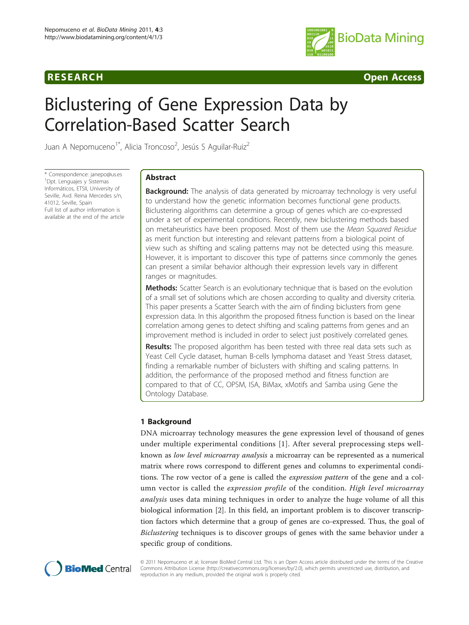



# Biclustering of Gene Expression Data by Correlation-Based Scatter Search

Juan A Nepomuceno<sup>1\*</sup>, Alicia Troncoso<sup>2</sup>, Jesús S Aguilar-Ruiz<sup>2</sup>

\* Correspondence: [janepo@us.es](mailto:janepo@us.es) <sup>1</sup> Dpt. Lenguajes y Sistemas Informáticos, ETSII, University of Seville, Avd. Reina Mercedes s/n, 41012, Seville, Spain Full list of author information is available at the end of the article

# Abstract

**Background:** The analysis of data generated by microarray technology is very useful to understand how the genetic information becomes functional gene products. Biclustering algorithms can determine a group of genes which are co-expressed under a set of experimental conditions. Recently, new biclustering methods based on metaheuristics have been proposed. Most of them use the Mean Squared Residue as merit function but interesting and relevant patterns from a biological point of view such as shifting and scaling patterns may not be detected using this measure. However, it is important to discover this type of patterns since commonly the genes can present a similar behavior although their expression levels vary in different ranges or magnitudes.

**Methods:** Scatter Search is an evolutionary technique that is based on the evolution of a small set of solutions which are chosen according to quality and diversity criteria. This paper presents a Scatter Search with the aim of finding biclusters from gene expression data. In this algorithm the proposed fitness function is based on the linear correlation among genes to detect shifting and scaling patterns from genes and an improvement method is included in order to select just positively correlated genes.

**Results:** The proposed algorithm has been tested with three real data sets such as Yeast Cell Cycle dataset, human B-cells lymphoma dataset and Yeast Stress dataset, finding a remarkable number of biclusters with shifting and scaling patterns. In addition, the performance of the proposed method and fitness function are compared to that of CC, OPSM, ISA, BiMax, xMotifs and Samba using Gene the Ontology Database.

# 1 Background

DNA microarray technology measures the gene expression level of thousand of genes under multiple experimental conditions [\[1\]](#page-15-0). After several preprocessing steps wellknown as low level microarray analysis a microarray can be represented as a numerical matrix where rows correspond to different genes and columns to experimental conditions. The row vector of a gene is called the *expression pattern* of the gene and a column vector is called the *expression profile* of the condition. High level microarray analysis uses data mining techniques in order to analyze the huge volume of all this biological information [[2\]](#page-15-0). In this field, an important problem is to discover transcription factors which determine that a group of genes are co-expressed. Thus, the goal of Biclustering techniques is to discover groups of genes with the same behavior under a specific group of conditions.



© 2011 Nepomuceno et al; licensee BioMed Central Ltd. This is an Open Access article distributed under the terms of the Creative Commons Attribution License [\(http://creativecommons.org/licenses/by/2.0](http://creativecommons.org/licenses/by/2.0)), which permits unrestricted use, distribution, and reproduction in any medium, provided the original work is properly cited.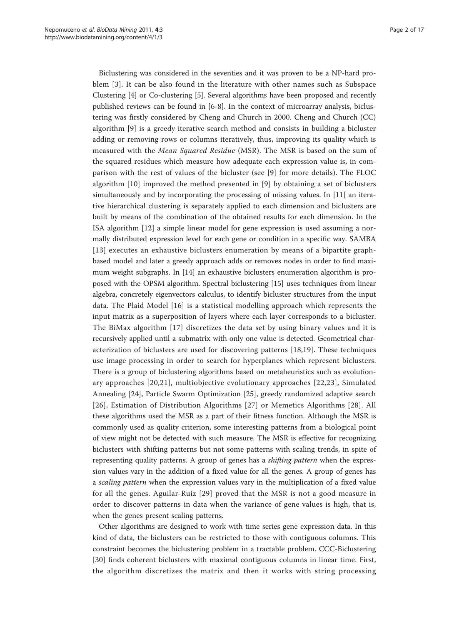Biclustering was considered in the seventies and it was proven to be a NP-hard problem [[3\]](#page-15-0). It can be also found in the literature with other names such as Subspace Clustering [[4\]](#page-15-0) or Co-clustering [[5](#page-15-0)]. Several algorithms have been proposed and recently published reviews can be found in [[6-8](#page-15-0)]. In the context of microarray analysis, biclustering was firstly considered by Cheng and Church in 2000. Cheng and Church (CC) algorithm [\[9](#page-15-0)] is a greedy iterative search method and consists in building a bicluster adding or removing rows or columns iteratively, thus, improving its quality which is measured with the Mean Squared Residue (MSR). The MSR is based on the sum of the squared residues which measure how adequate each expression value is, in comparison with the rest of values of the bicluster (see [[9\]](#page-15-0) for more details). The FLOC algorithm [[10\]](#page-15-0) improved the method presented in [[9\]](#page-15-0) by obtaining a set of biclusters simultaneously and by incorporating the processing of missing values. In [\[11](#page-15-0)] an iterative hierarchical clustering is separately applied to each dimension and biclusters are built by means of the combination of the obtained results for each dimension. In the ISA algorithm [\[12](#page-15-0)] a simple linear model for gene expression is used assuming a normally distributed expression level for each gene or condition in a specific way. SAMBA [[13](#page-15-0)] executes an exhaustive biclusters enumeration by means of a bipartite graphbased model and later a greedy approach adds or removes nodes in order to find maximum weight subgraphs. In [[14\]](#page-15-0) an exhaustive biclusters enumeration algorithm is proposed with the OPSM algorithm. Spectral biclustering [[15](#page-15-0)] uses techniques from linear algebra, concretely eigenvectors calculus, to identify bicluster structures from the input data. The Plaid Model [[16\]](#page-15-0) is a statistical modelling approach which represents the input matrix as a superposition of layers where each layer corresponds to a bicluster. The BiMax algorithm [[17](#page-15-0)] discretizes the data set by using binary values and it is recursively applied until a submatrix with only one value is detected. Geometrical characterization of biclusters are used for discovering patterns [\[18,](#page-15-0)[19](#page-16-0)]. These techniques use image processing in order to search for hyperplanes which represent biclusters. There is a group of biclustering algorithms based on metaheuristics such as evolutionary approaches [\[20,21\]](#page-16-0), multiobjective evolutionary approaches [[22](#page-16-0),[23](#page-16-0)], Simulated Annealing [\[24](#page-16-0)], Particle Swarm Optimization [[25](#page-16-0)], greedy randomized adaptive search [[26](#page-16-0)], Estimation of Distribution Algorithms [[27\]](#page-16-0) or Memetics Algorithms [\[28\]](#page-16-0). All these algorithms used the MSR as a part of their fitness function. Although the MSR is commonly used as quality criterion, some interesting patterns from a biological point of view might not be detected with such measure. The MSR is effective for recognizing biclusters with shifting patterns but not some patterns with scaling trends, in spite of representing quality patterns. A group of genes has a shifting pattern when the expression values vary in the addition of a fixed value for all the genes. A group of genes has a scaling pattern when the expression values vary in the multiplication of a fixed value for all the genes. Aguilar-Ruiz [\[29\]](#page-16-0) proved that the MSR is not a good measure in order to discover patterns in data when the variance of gene values is high, that is, when the genes present scaling patterns.

Other algorithms are designed to work with time series gene expression data. In this kind of data, the biclusters can be restricted to those with contiguous columns. This constraint becomes the biclustering problem in a tractable problem. CCC-Biclustering [[30\]](#page-16-0) finds coherent biclusters with maximal contiguous columns in linear time. First, the algorithm discretizes the matrix and then it works with string processing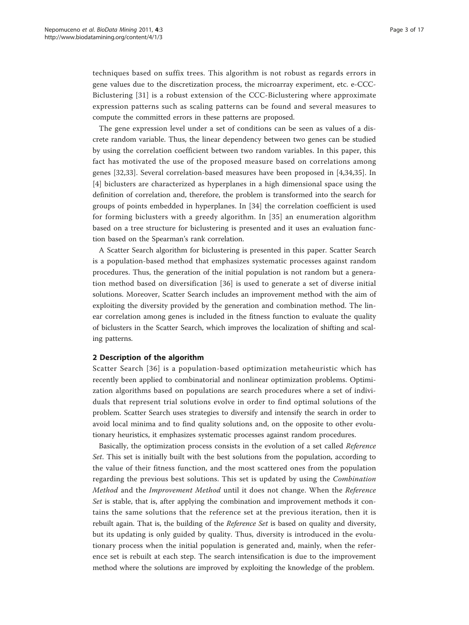techniques based on suffix trees. This algorithm is not robust as regards errors in gene values due to the discretization process, the microarray experiment, etc. e-CCC-Biclustering [[31\]](#page-16-0) is a robust extension of the CCC-Biclustering where approximate expression patterns such as scaling patterns can be found and several measures to compute the committed errors in these patterns are proposed.

The gene expression level under a set of conditions can be seen as values of a discrete random variable. Thus, the linear dependency between two genes can be studied by using the correlation coefficient between two random variables. In this paper, this fact has motivated the use of the proposed measure based on correlations among genes [\[32](#page-16-0),[33\]](#page-16-0). Several correlation-based measures have been proposed in [[4,](#page-15-0)[34,35](#page-16-0)]. In [[4\]](#page-15-0) biclusters are characterized as hyperplanes in a high dimensional space using the definition of correlation and, therefore, the problem is transformed into the search for groups of points embedded in hyperplanes. In [[34\]](#page-16-0) the correlation coefficient is used for forming biclusters with a greedy algorithm. In [[35\]](#page-16-0) an enumeration algorithm based on a tree structure for biclustering is presented and it uses an evaluation function based on the Spearman's rank correlation.

A Scatter Search algorithm for biclustering is presented in this paper. Scatter Search is a population-based method that emphasizes systematic processes against random procedures. Thus, the generation of the initial population is not random but a generation method based on diversification [[36\]](#page-16-0) is used to generate a set of diverse initial solutions. Moreover, Scatter Search includes an improvement method with the aim of exploiting the diversity provided by the generation and combination method. The linear correlation among genes is included in the fitness function to evaluate the quality of biclusters in the Scatter Search, which improves the localization of shifting and scaling patterns.

# 2 Description of the algorithm

Scatter Search [[36](#page-16-0)] is a population-based optimization metaheuristic which has recently been applied to combinatorial and nonlinear optimization problems. Optimization algorithms based on populations are search procedures where a set of individuals that represent trial solutions evolve in order to find optimal solutions of the problem. Scatter Search uses strategies to diversify and intensify the search in order to avoid local minima and to find quality solutions and, on the opposite to other evolutionary heuristics, it emphasizes systematic processes against random procedures.

Basically, the optimization process consists in the evolution of a set called Reference Set. This set is initially built with the best solutions from the population, according to the value of their fitness function, and the most scattered ones from the population regarding the previous best solutions. This set is updated by using the Combination Method and the Improvement Method until it does not change. When the Reference Set is stable, that is, after applying the combination and improvement methods it contains the same solutions that the reference set at the previous iteration, then it is rebuilt again. That is, the building of the Reference Set is based on quality and diversity, but its updating is only guided by quality. Thus, diversity is introduced in the evolutionary process when the initial population is generated and, mainly, when the reference set is rebuilt at each step. The search intensification is due to the improvement method where the solutions are improved by exploiting the knowledge of the problem.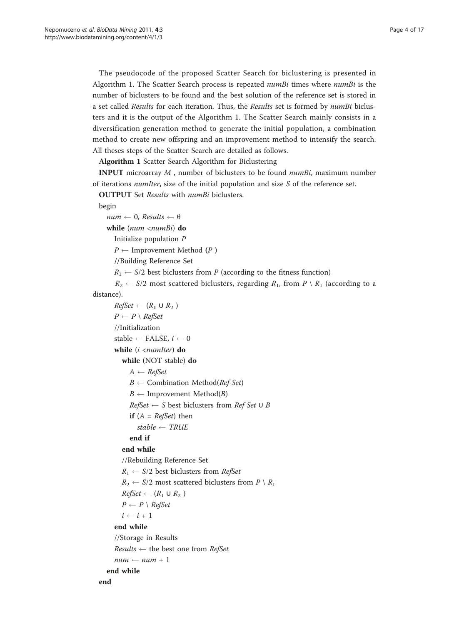The pseudocode of the proposed Scatter Search for biclustering is presented in Algorithm 1. The Scatter Search process is repeated numBi times where numBi is the number of biclusters to be found and the best solution of the reference set is stored in a set called Results for each iteration. Thus, the Results set is formed by numBi biclusters and it is the output of the Algorithm 1. The Scatter Search mainly consists in a diversification generation method to generate the initial population, a combination method to create new offspring and an improvement method to intensify the search. All theses steps of the Scatter Search are detailed as follows.

Algorithm 1 Scatter Search Algorithm for Biclustering

**INPUT** microarray  $M$ , number of biclusters to be found  $numBi$ , maximum number of iterations numIter, size of the initial population and size S of the reference set.

OUTPUT Set Results with numBi biclusters.

# begin  $num \leftarrow 0$ , Results  $\leftarrow \theta$ while (num <numBi) do Initialize population P  $P \leftarrow$  Improvement Method (P) //Building Reference Set  $R_1 \leftarrow S/2$  best biclusters from P (according to the fitness function)  $R_2 \leftarrow S/2$  most scattered biclusters, regarding  $R_1$ , from  $P \setminus R_1$  (according to a distance).  $RefSet \leftarrow (R_1 \cup R_2)$  $P \leftarrow P \setminus \mathit{RefSet}$ //Initialization stable  $\leftarrow$  FALSE,  $i \leftarrow 0$ while (i <numIter) do while (NOT stable) do  $A \leftarrow \text{RefSet}$  $B \leftarrow$  Combination Method(*Ref Set*)  $B \leftarrow$  Improvement Method(*B*) *RefSet*  $\leftarrow$  *S* best biclusters from *Ref Set* ∪ *B* if  $(A = RefSet)$  then stable  $\leftarrow$  TRUE end if end while //Rebuilding Reference Set  $R_1 \leftarrow S/2$  best biclusters from RefSet  $R_2 \leftarrow S/2$  most scattered biclusters from  $P \setminus R_1$  $RefSet \leftarrow (R_1 \cup R_2)$  $P \leftarrow P \setminus \mathit{RefSet}$  $i \leftarrow i + 1$ end while //Storage in Results  $Results \leftarrow$  the best one from RefSet  $num \leftarrow num + 1$ end while end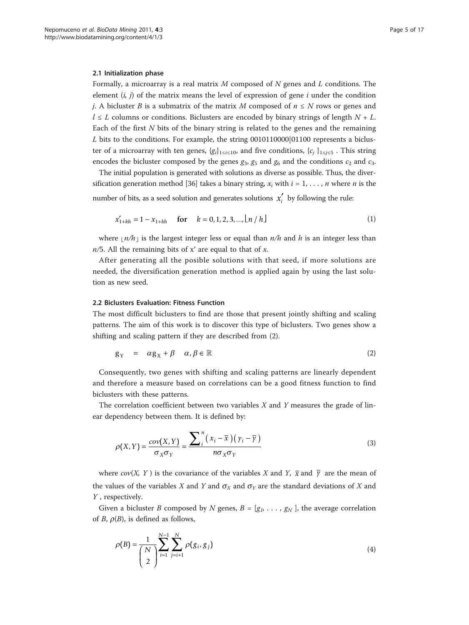#### 2.1 Initialization phase

Formally, a microarray is a real matrix  $M$  composed of  $N$  genes and  $L$  conditions. The element  $(i, j)$  of the matrix means the level of expression of gene i under the condition j. A bicluster B is a submatrix of the matrix M composed of  $n \leq N$  rows or genes and  $l \leq L$  columns or conditions. Biclusters are encoded by binary strings of length  $N + L$ . Each of the first  $N$  bits of the binary string is related to the genes and the remaining L bits to the conditions. For example, the string 0010110000|01100 represents a bicluster of a microarray with ten genes,  $\{g_i\}_{1\leq i\leq 10}$ , and five conditions,  $\{c_j\}_{1\leq j\leq 5}$ . This string encodes the bicluster composed by the genes  $g_3$ ,  $g_5$  and  $g_6$  and the conditions  $c_2$  and  $c_3$ .

The initial population is generated with solutions as diverse as possible. Thus, the diver-sification generation method [[36](#page-16-0)] takes a binary string,  $x_i$  with  $i = 1, \ldots, n$  where *n* is the number of bits, as a seed solution and generates solutions  $x'_i$  by following the rule:

$$
x'_{1+kh} = 1 - x_{1+kh} \quad \text{for} \quad k = 0, 1, 2, 3, \dots, \lfloor n / h \rfloor \tag{1}
$$

where  $\lfloor n/h \rfloor$  is the largest integer less or equal than  $n/h$  and h is an integer less than  $n/5$ . All the remaining bits of x' are equal to that of x.

After generating all the posible solutions with that seed, if more solutions are needed, the diversification generation method is applied again by using the last solution as new seed.

# 2.2 Biclusters Evaluation: Fitness Function

The most difficult biclusters to find are those that present jointly shifting and scaling patterns. The aim of this work is to discover this type of biclusters. Two genes show a shifting and scaling pattern if they are described from (2).

$$
g_Y = \alpha g_X + \beta \quad \alpha, \beta \in \mathbb{R} \tag{2}
$$

Consequently, two genes with shifting and scaling patterns are linearly dependent and therefore a measure based on correlations can be a good fitness function to find biclusters with these patterns.

The correlation coefficient between two variables  $X$  and  $Y$  measures the grade of linear dependency between them. It is defined by:

$$
\rho(X,Y) = \frac{cov(X,Y)}{\sigma_X \sigma_Y} = \frac{\sum_{i}^{n} (x_i - \overline{x})(\gamma_i - \overline{\gamma})}{n \sigma_X \sigma_Y}
$$
\n(3)

where  $cov(X, Y)$  is the covariance of the variables X and Y,  $\bar{x}$  and  $\bar{y}$  are the mean of the values of the variables X and Y and  $\sigma_X$  and  $\sigma_Y$  are the standard deviations of X and Y , respectively.

Given a bicluster B composed by N genes,  $B = [g_1, \ldots, g_N]$ , the average correlation of B,  $\rho(B)$ , is defined as follows,

$$
\rho(B) = \frac{1}{\binom{N}{2}} \sum_{i=1}^{N-1} \sum_{j=i+1}^{N} \rho(g_i, g_j)
$$
\n(4)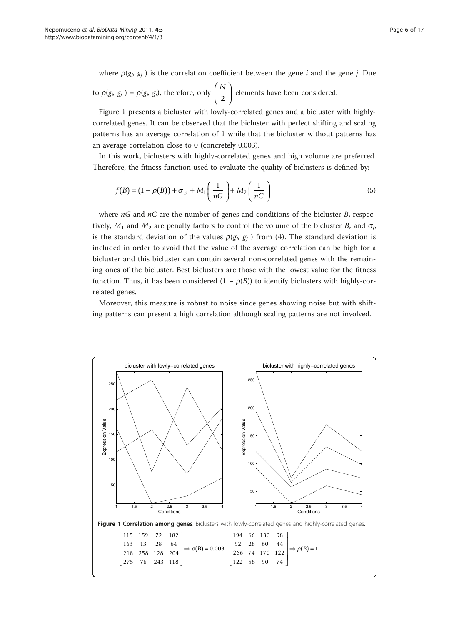where  $\rho(g_i, g_j)$  is the correlation coefficient between the gene *i* and the gene *j*. Due

to  $\rho(g_i, g_j) = \rho(g_j, g_i)$ , therefore, only  $\begin{pmatrix} N \\ 2 \end{pmatrix}$ 2 ⎛  $\left(\begin{array}{c} N \\ 2 \end{array}\right)$  elements have been considered.

Figure 1 presents a bicluster with lowly-correlated genes and a bicluster with highlycorrelated genes. It can be observed that the bicluster with perfect shifting and scaling patterns has an average correlation of 1 while that the bicluster without patterns has an average correlation close to 0 (concretely 0.003).

In this work, biclusters with highly-correlated genes and high volume are preferred. Therefore, the fitness function used to evaluate the quality of biclusters is defined by:

$$
f(B) = (1 - \rho(B)) + \sigma_{\rho} + M_1\left(\frac{1}{nG}\right) + M_2\left(\frac{1}{nC}\right)
$$
\n<sup>(5)</sup>

where  $nG$  and  $nC$  are the number of genes and conditions of the bicluster B, respectively,  $M_1$  and  $M_2$  are penalty factors to control the volume of the bicluster B, and  $\sigma$ is the standard deviation of the values  $\rho(g_i, g_j)$  from (4). The standard deviation is included in order to avoid that the value of the average correlation can be high for a bicluster and this bicluster can contain several non-correlated genes with the remaining ones of the bicluster. Best biclusters are those with the lowest value for the fitness function. Thus, it has been considered  $(1 - \rho(B))$  to identify biclusters with highly-correlated genes.

Moreover, this measure is robust to noise since genes showing noise but with shifting patterns can present a high correlation although scaling patterns are not involved.

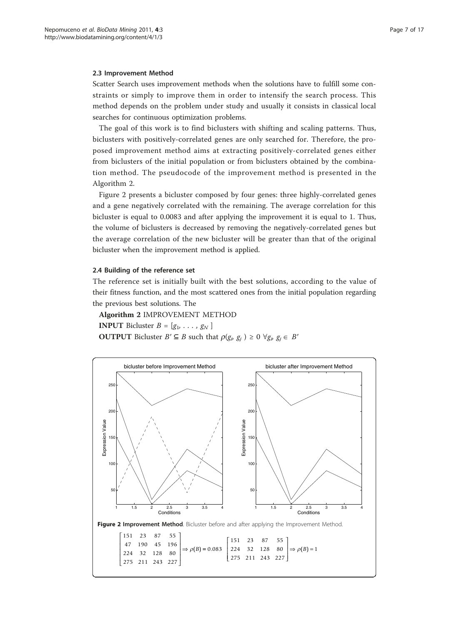# 2.3 Improvement Method

Scatter Search uses improvement methods when the solutions have to fulfill some constraints or simply to improve them in order to intensify the search process. This method depends on the problem under study and usually it consists in classical local searches for continuous optimization problems.

The goal of this work is to find biclusters with shifting and scaling patterns. Thus, biclusters with positively-correlated genes are only searched for. Therefore, the proposed improvement method aims at extracting positively-correlated genes either from biclusters of the initial population or from biclusters obtained by the combination method. The pseudocode of the improvement method is presented in the Algorithm 2.

Figure 2 presents a bicluster composed by four genes: three highly-correlated genes and a gene negatively correlated with the remaining. The average correlation for this bicluster is equal to 0.0083 and after applying the improvement it is equal to 1. Thus, the volume of biclusters is decreased by removing the negatively-correlated genes but the average correlation of the new bicluster will be greater than that of the original bicluster when the improvement method is applied.

#### 2.4 Building of the reference set

The reference set is initially built with the best solutions, according to the value of their fitness function, and the most scattered ones from the initial population regarding the previous best solutions. The

Algorithm 2 IMPROVEMENT METHOD

**INPUT** Bicluster  $B = [g_1, \ldots, g_N]$ 

**OUTPUT** Bicluster  $B' \subseteq B$  such that  $\rho(g_i, g_j) \geq 0 \ \forall g_i, g_j \in B'$ 

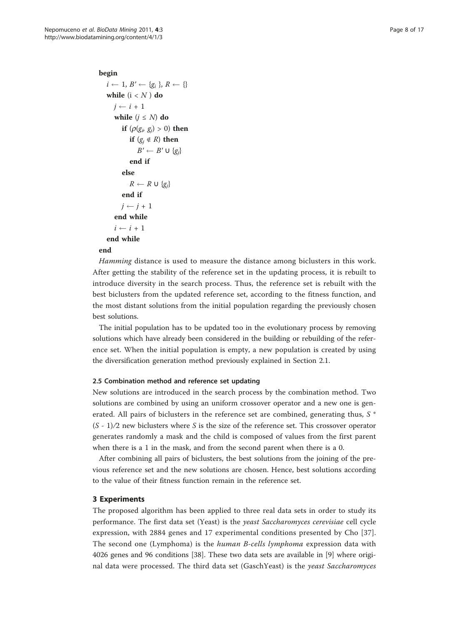```
begin
i \leftarrow 1, B' \leftarrow \{g_i\}, R \leftarrow \{\}while (i < N) do
   j \leftarrow i + 1while (j \leq N) do
       if (\rho(g_i, g_j) > 0) then
          if (g_i \notin R) then
             B' \leftarrow B' \cup \{g_i\}end if
       else
          R ← R ∪ \{g_j\}end if
      j \leftarrow j + 1end while
   i \leftarrow i + 1end while
```
#### end

Hamming distance is used to measure the distance among biclusters in this work. After getting the stability of the reference set in the updating process, it is rebuilt to introduce diversity in the search process. Thus, the reference set is rebuilt with the best biclusters from the updated reference set, according to the fitness function, and the most distant solutions from the initial population regarding the previously chosen best solutions.

The initial population has to be updated too in the evolutionary process by removing solutions which have already been considered in the building or rebuilding of the reference set. When the initial population is empty, a new population is created by using the diversification generation method previously explained in Section 2.1.

### 2.5 Combination method and reference set updating

New solutions are introduced in the search process by the combination method. Two solutions are combined by using an uniform crossover operator and a new one is generated. All pairs of biclusters in the reference set are combined, generating thus,  $S^*$  $(S - 1)/2$  new biclusters where S is the size of the reference set. This crossover operator generates randomly a mask and the child is composed of values from the first parent when there is a 1 in the mask, and from the second parent when there is a 0.

After combining all pairs of biclusters, the best solutions from the joining of the previous reference set and the new solutions are chosen. Hence, best solutions according to the value of their fitness function remain in the reference set.

# 3 Experiments

The proposed algorithm has been applied to three real data sets in order to study its performance. The first data set (Yeast) is the yeast Saccharomyces cerevisiae cell cycle expression, with 2884 genes and 17 experimental conditions presented by Cho [[37](#page-16-0)]. The second one (Lymphoma) is the human B-cells lymphoma expression data with 4026 genes and 96 conditions [\[38\]](#page-16-0). These two data sets are available in [[9\]](#page-15-0) where original data were processed. The third data set (GaschYeast) is the yeast Saccharomyces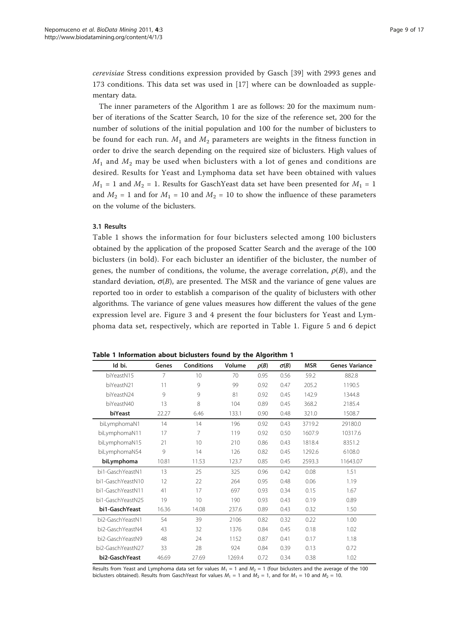<span id="page-8-0"></span>cerevisiae Stress conditions expression provided by Gasch [[39\]](#page-16-0) with 2993 genes and 173 conditions. This data set was used in [[17\]](#page-15-0) where can be downloaded as supplementary data.

The inner parameters of the Algorithm 1 are as follows: 20 for the maximum number of iterations of the Scatter Search, 10 for the size of the reference set, 200 for the number of solutions of the initial population and 100 for the number of biclusters to be found for each run.  $M_1$  and  $M_2$  parameters are weights in the fitness function in order to drive the search depending on the required size of biclusters. High values of  $M_1$  and  $M_2$  may be used when biclusters with a lot of genes and conditions are desired. Results for Yeast and Lymphoma data set have been obtained with values  $M_1$  = 1 and  $M_2$  = 1. Results for GaschYeast data set have been presented for  $M_1$  = 1 and  $M_2 = 1$  and for  $M_1 = 10$  and  $M_2 = 10$  to show the influence of these parameters on the volume of the biclusters.

# 3.1 Results

Table 1 shows the information for four biclusters selected among 100 biclusters obtained by the application of the proposed Scatter Search and the average of the 100 biclusters (in bold). For each bicluster an identifier of the bicluster, the number of genes, the number of conditions, the volume, the average correlation,  $\rho(B)$ , and the standard deviation,  $\sigma(B)$ , are presented. The MSR and the variance of gene values are reported too in order to establish a comparison of the quality of biclusters with other algorithms. The variance of gene values measures how different the values of the gene expression level are. Figure [3](#page-9-0) and [4](#page-9-0) present the four biclusters for Yeast and Lymphoma data set, respectively, which are reported in Table 1. Figure [5](#page-10-0) and [6](#page-10-0) depict

| Id bi.            | Genes | <b>Conditions</b> | Volume | $\rho(B)$ | $\sigma(B)$ | <b>MSR</b> | <b>Genes Variance</b> |
|-------------------|-------|-------------------|--------|-----------|-------------|------------|-----------------------|
| biYeastN15        | 7     | 10                | 70     | 0.95      | 0.56        | 59.2       | 882.8                 |
| biYeastN21        | 11    | 9                 | 99     | 0.92      | 0.47        | 205.2      | 1190.5                |
| biYeastN24        | 9     | 9                 | 81     | 0.92      | 0.45        | 142.9      | 1344.8                |
| biYeastN40        | 13    | 8                 | 104    | 0.89      | 0.45        | 368.2      | 2185.4                |
| biYeast           | 22.27 | 6.46              | 133.1  | 0.90      | 0.48        | 321.0      | 1508.7                |
| biLymphomaN1      | 14    | 14                | 196    | 0.92      | 0.43        | 3719.2     | 29180.0               |
| biLymphomaN11     | 17    | 7                 | 119    | 0.92      | 0.50        | 1607.9     | 10317.6               |
| biLymphomaN15     | 21    | 10                | 210    | 0.86      | 0.43        | 1818.4     | 8351.2                |
| biLymphomaN54     | 9     | 14                | 126    | 0.82      | 0.45        | 1292.6     | 6108.0                |
| biLymphoma        | 10.81 | 11.53             | 123.7  | 0.85      | 0.45        | 2593.3     | 11643.07              |
| bi1-GaschYeastN1  | 13    | 25                | 325    | 0.96      | 0.42        | 0.08       | 1.51                  |
| bi1-GaschYeastN10 | 12    | 22                | 264    | 0.95      | 0.48        | 0.06       | 1.19                  |
| bi1-GaschYeastN11 | 41    | 17                | 697    | 0.93      | 0.34        | 0.15       | 1.67                  |
| bi1-GaschYeastN25 | 19    | 10                | 190    | 0.93      | 0.43        | 0.19       | 0.89                  |
| bi1-GaschYeast    | 16.36 | 14.08             | 237.6  | 0.89      | 0.43        | 0.32       | 1.50                  |
| bi2-GaschYeastN1  | 54    | 39                | 2106   | 0.82      | 0.32        | 0.22       | 1.00                  |
| bi2-GaschYeastN4  | 43    | 32                | 1376   | 0.84      | 0.45        | 0.18       | 1.02                  |
| bi2-GaschYeastN9  | 48    | 24                | 1152   | 0.87      | 0.41        | 0.17       | 1.18                  |
| bi2-GaschYeastN27 | 33    | 28                | 924    | 0.84      | 0.39        | 0.13       | 0.72                  |
| bi2-GaschYeast    | 46.69 | 27.69             | 1269.4 | 0.72      | 0.34        | 0.38       | 1.02                  |

Table 1 Information about biclusters found by the Algorithm 1

Results from Yeast and Lymphoma data set for values  $M_1 = 1$  and  $M_2 = 1$  (four biclusters and the average of the 100 biclusters obtained). Results from GaschYeast for values  $M_1 = 1$  and  $M_2 = 1$ , and for  $M_1 = 10$  and  $M_2 = 10$ .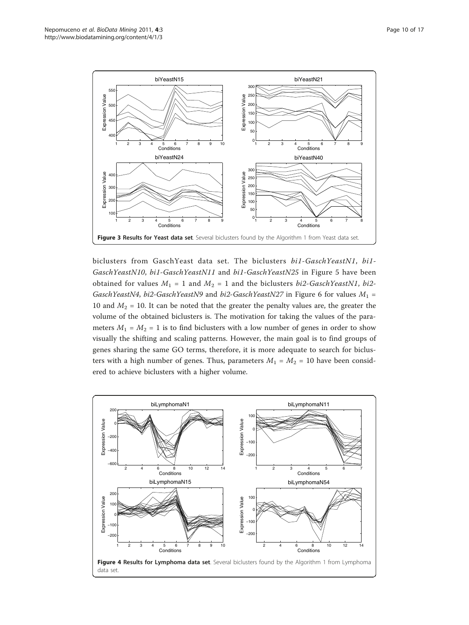<span id="page-9-0"></span>

biclusters from GaschYeast data set. The biclusters bi1-GaschYeastN1, bi1- GaschYeastN10, bi1-GaschYeastN11 and bi1-GaschYeastN25 in Figure [5](#page-10-0) have been obtained for values  $M_1 = 1$  and  $M_2 = 1$  and the biclusters bi2-GaschYeastN1, bi2-GaschYeastN4, bi2-GaschYeastN9 and bi2-GaschYeastN27 in Figure [6](#page-10-0) for values  $M_1$  = 10 and  $M_2$  = 10. It can be noted that the greater the penalty values are, the greater the volume of the obtained biclusters is. The motivation for taking the values of the parameters  $M_1 = M_2 = 1$  is to find biclusters with a low number of genes in order to show visually the shifting and scaling patterns. However, the main goal is to find groups of genes sharing the same GO terms, therefore, it is more adequate to search for biclusters with a high number of genes. Thus, parameters  $M_1 = M_2 = 10$  have been considered to achieve biclusters with a higher volume.

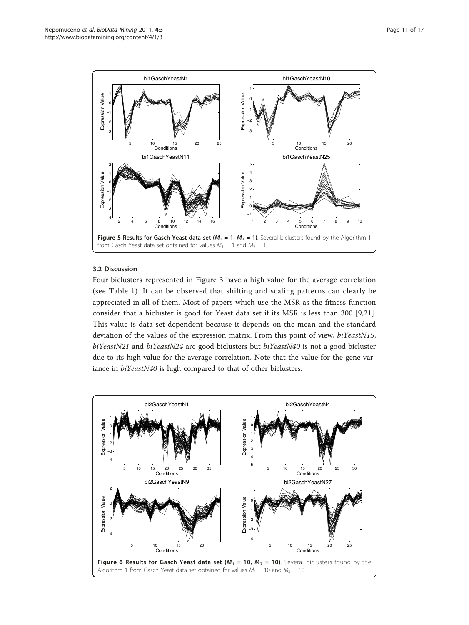<span id="page-10-0"></span>

# 3.2 Discussion

Four biclusters represented in Figure [3](#page-9-0) have a high value for the average correlation (see Table [1\)](#page-8-0). It can be observed that shifting and scaling patterns can clearly be appreciated in all of them. Most of papers which use the MSR as the fitness function consider that a bicluster is good for Yeast data set if its MSR is less than 300 [[9,](#page-15-0)[21](#page-16-0)]. This value is data set dependent because it depends on the mean and the standard deviation of the values of the expression matrix. From this point of view, biYeastN15, biYeastN21 and biYeastN24 are good biclusters but biYeastN40 is not a good bicluster due to its high value for the average correlation. Note that the value for the gene variance in *biYeastN40* is high compared to that of other biclusters.

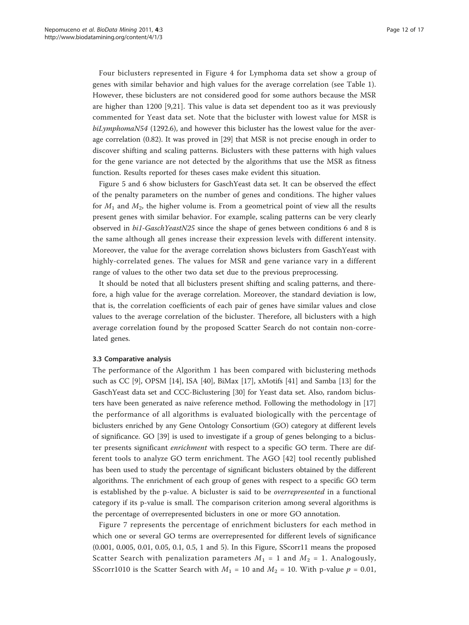Four biclusters represented in Figure [4](#page-9-0) for Lymphoma data set show a group of genes with similar behavior and high values for the average correlation (see Table [1](#page-8-0)). However, these biclusters are not considered good for some authors because the MSR are higher than 1200 [\[9](#page-15-0),[21\]](#page-16-0). This value is data set dependent too as it was previously commented for Yeast data set. Note that the bicluster with lowest value for MSR is biLymphomaN54 (1292.6), and however this bicluster has the lowest value for the average correlation (0.82). It was proved in [\[29](#page-16-0)] that MSR is not precise enough in order to discover shifting and scaling patterns. Biclusters with these patterns with high values for the gene variance are not detected by the algorithms that use the MSR as fitness function. Results reported for theses cases make evident this situation.

Figure [5](#page-10-0) and [6](#page-10-0) show biclusters for GaschYeast data set. It can be observed the effect of the penalty parameters on the number of genes and conditions. The higher values for  $M_1$  and  $M_2$ , the higher volume is. From a geometrical point of view all the results present genes with similar behavior. For example, scaling patterns can be very clearly observed in bi1-GaschYeastN25 since the shape of genes between conditions 6 and 8 is the same although all genes increase their expression levels with different intensity. Moreover, the value for the average correlation shows biclusters from GaschYeast with highly-correlated genes. The values for MSR and gene variance vary in a different range of values to the other two data set due to the previous preprocessing.

It should be noted that all biclusters present shifting and scaling patterns, and therefore, a high value for the average correlation. Moreover, the standard deviation is low, that is, the correlation coefficients of each pair of genes have similar values and close values to the average correlation of the bicluster. Therefore, all biclusters with a high average correlation found by the proposed Scatter Search do not contain non-correlated genes.

#### 3.3 Comparative analysis

The performance of the Algorithm 1 has been compared with biclustering methods such as CC [[9\]](#page-15-0), OPSM [[14\]](#page-15-0), ISA [\[40\]](#page-16-0), BiMax [\[17](#page-15-0)], xMotifs [[41](#page-16-0)] and Samba [[13](#page-15-0)] for the GaschYeast data set and CCC-Biclustering [[30](#page-16-0)] for Yeast data set. Also, random biclusters have been generated as naive reference method. Following the methodology in [[17](#page-15-0)] the performance of all algorithms is evaluated biologically with the percentage of biclusters enriched by any Gene Ontology Consortium (GO) category at different levels of significance. GO [[39](#page-16-0)] is used to investigate if a group of genes belonging to a bicluster presents significant enrichment with respect to a specific GO term. There are different tools to analyze GO term enrichment. The AGO [[42\]](#page-16-0) tool recently published has been used to study the percentage of significant biclusters obtained by the different algorithms. The enrichment of each group of genes with respect to a specific GO term is established by the p-value. A bicluster is said to be overrepresented in a functional category if its p-value is small. The comparison criterion among several algorithms is the percentage of overrepresented biclusters in one or more GO annotation.

Figure [7](#page-12-0) represents the percentage of enrichment biclusters for each method in which one or several GO terms are overrepresented for different levels of significance (0.001, 0.005, 0.01, 0.05, 0.1, 0.5, 1 and 5). In this Figure, SScorr11 means the proposed Scatter Search with penalization parameters  $M_1 = 1$  and  $M_2 = 1$ . Analogously, SScorr1010 is the Scatter Search with  $M_1 = 10$  and  $M_2 = 10$ . With p-value  $p = 0.01$ ,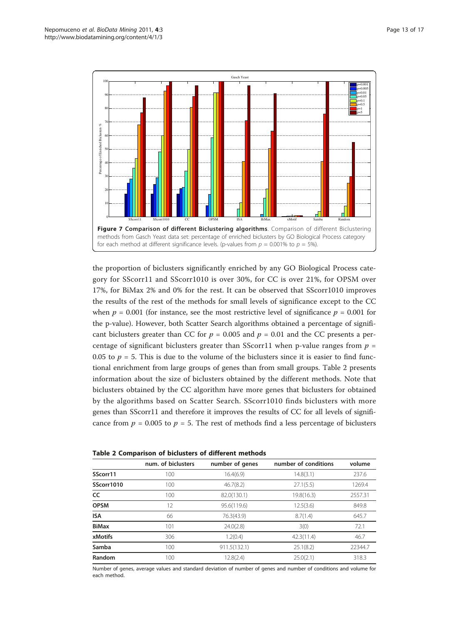<span id="page-12-0"></span>

the proportion of biclusters significantly enriched by any GO Biological Process category for SScorr11 and SScorr1010 is over 30%, for CC is over 21%, for OPSM over 17%, for BiMax 2% and 0% for the rest. It can be observed that SScorr1010 improves the results of the rest of the methods for small levels of significance except to the CC when  $p = 0.001$  (for instance, see the most restrictive level of significance  $p = 0.001$  for the p-value). However, both Scatter Search algorithms obtained a percentage of significant biclusters greater than CC for  $p = 0.005$  and  $p = 0.01$  and the CC presents a percentage of significant biclusters greater than SScorr11 when p-value ranges from  $p =$ 0.05 to  $p = 5$ . This is due to the volume of the biclusters since it is easier to find functional enrichment from large groups of genes than from small groups. Table 2 presents information about the size of biclusters obtained by the different methods. Note that biclusters obtained by the CC algorithm have more genes that biclusters for obtained by the algorithms based on Scatter Search. SScorr1010 finds biclusters with more genes than SScorr11 and therefore it improves the results of CC for all levels of significance from  $p = 0.005$  to  $p = 5$ . The rest of methods find a less percentage of biclusters

| Table 2 Comparison of biclusters of different methods |  |  |  |
|-------------------------------------------------------|--|--|--|
|-------------------------------------------------------|--|--|--|

|              | num. of biclusters | number of genes | number of conditions | volume  |
|--------------|--------------------|-----------------|----------------------|---------|
| SScorr11     | 100                | 16.4(6.9)       | 14.8(3.1)            | 237.6   |
| SScorr1010   | 100                | 46.7(8.2)       | 27.1(5.5)            | 1269.4  |
| CC           | 100                | 82.0(130.1)     | 19.8(16.3)           | 2557.31 |
| <b>OPSM</b>  | 12                 | 95.6(119.6)     | 12.5(3.6)            | 849.8   |
| <b>ISA</b>   | 66                 | 76.3(43.9)      | 8.7(1.4)             | 645.7   |
| <b>BiMax</b> | 101                | 24.0(2.8)       | 3(0)                 | 72.1    |
| xMotifs      | 306                | 1.2(0.4)        | 42.3(11.4)           | 46.7    |
| Samba        | 100                | 911.5(132.1)    | 25.1(8.2)            | 22344.7 |
| Random       | 100                | 12.8(2.4)       | 25.0(2.1)            | 318.3   |

Number of genes, average values and standard deviation of number of genes and number of conditions and volume for each method.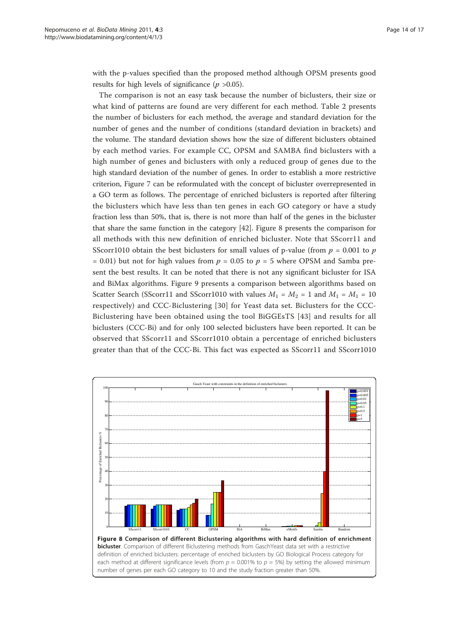with the p-values specified than the proposed method although OPSM presents good results for high levels of significance ( $p > 0.05$ ).

The comparison is not an easy task because the number of biclusters, their size or what kind of patterns are found are very different for each method. Table [2](#page-12-0) presents the number of biclusters for each method, the average and standard deviation for the number of genes and the number of conditions (standard deviation in brackets) and the volume. The standard deviation shows how the size of different biclusters obtained by each method varies. For example CC, OPSM and SAMBA find biclusters with a high number of genes and biclusters with only a reduced group of genes due to the high standard deviation of the number of genes. In order to establish a more restrictive criterion, Figure [7](#page-12-0) can be reformulated with the concept of bicluster overrepresented in a GO term as follows. The percentage of enriched biclusters is reported after filtering the biclusters which have less than ten genes in each GO category or have a study fraction less than 50%, that is, there is not more than half of the genes in the bicluster that share the same function in the category [[42\]](#page-16-0). Figure 8 presents the comparison for all methods with this new definition of enriched bicluster. Note that SScorr11 and SScorr1010 obtain the best biclusters for small values of p-value (from  $p = 0.001$  to p = 0.01) but not for high values from  $p = 0.05$  to  $p = 5$  where OPSM and Samba present the best results. It can be noted that there is not any significant bicluster for ISA and BiMax algorithms. Figure [9](#page-14-0) presents a comparison between algorithms based on Scatter Search (SScorr11 and SScorr1010 with values  $M_1 = M_2 = 1$  and  $M_1 = M_1 = 10$ respectively) and CCC-Biclustering [\[30\]](#page-16-0) for Yeast data set. Biclusters for the CCC-Biclustering have been obtained using the tool BiGGEsTS [\[43\]](#page-16-0) and results for all biclusters (CCC-Bi) and for only 100 selected biclusters have been reported. It can be observed that SScorr11 and SScorr1010 obtain a percentage of enriched biclusters greater than that of the CCC-Bi. This fact was expected as SScorr11 and SScorr1010

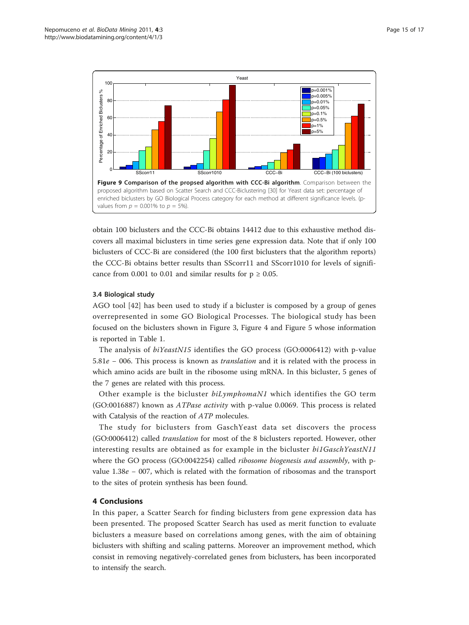<span id="page-14-0"></span>

obtain 100 biclusters and the CCC-Bi obtains 14412 due to this exhaustive method discovers all maximal biclusters in time series gene expression data. Note that if only 100 biclusters of CCC-Bi are considered (the 100 first biclusters that the algorithm reports) the CCC-Bi obtains better results than SScorr11 and SScorr1010 for levels of significance from 0.001 to 0.01 and similar results for  $p \ge 0.05$ .

# 3.4 Biological study

AGO tool [[42](#page-16-0)] has been used to study if a bicluster is composed by a group of genes overrepresented in some GO Biological Processes. The biological study has been focused on the biclusters shown in Figure [3,](#page-9-0) Figure [4](#page-9-0) and Figure [5](#page-10-0) whose information is reported in Table [1](#page-8-0).

The analysis of biYeastN15 identifies the GO process (GO:0006412) with p-value 5.81e − 006. This process is known as translation and it is related with the process in which amino acids are built in the ribosome using mRNA. In this bicluster, 5 genes of the 7 genes are related with this process.

Other example is the bicluster biLymphomaN1 which identifies the GO term (GO:0016887) known as ATPase activity with p-value 0.0069. This process is related with Catalysis of the reaction of ATP molecules.

The study for biclusters from GaschYeast data set discovers the process (GO:0006412) called translation for most of the 8 biclusters reported. However, other interesting results are obtained as for example in the bicluster bi1GaschYeastN11 where the GO process (GO:0042254) called *ribosome biogenesis and assembly*, with pvalue 1.38e − 007, which is related with the formation of ribosomas and the transport to the sites of protein synthesis has been found.

# 4 Conclusions

In this paper, a Scatter Search for finding biclusters from gene expression data has been presented. The proposed Scatter Search has used as merit function to evaluate biclusters a measure based on correlations among genes, with the aim of obtaining biclusters with shifting and scaling patterns. Moreover an improvement method, which consist in removing negatively-correlated genes from biclusters, has been incorporated to intensify the search.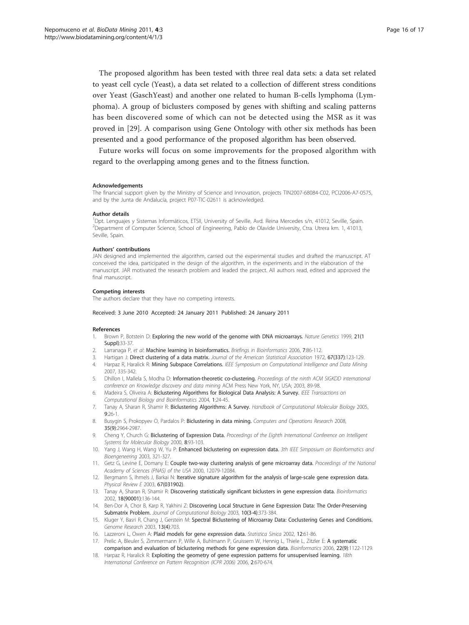<span id="page-15-0"></span>The proposed algorithm has been tested with three real data sets: a data set related to yeast cell cycle (Yeast), a data set related to a collection of different stress conditions over Yeast (GaschYeast) and another one related to human B-cells lymphoma (Lymphoma). A group of biclusters composed by genes with shifting and scaling patterns has been discovered some of which can not be detected using the MSR as it was proved in [[29\]](#page-16-0). A comparison using Gene Ontology with other six methods has been presented and a good performance of the proposed algorithm has been observed.

Future works will focus on some improvements for the proposed algorithm with regard to the overlapping among genes and to the fitness function.

#### Acknowledgements

The financial support given by the Ministry of Science and Innovation, projects TIN2007-68084-C02, PCI2006-A7-0575, and by the Junta de Andalucía, project P07-TIC-02611 is acknowledged.

#### Author details

1 Dpt. Lenguajes y Sistemas Informáticos, ETSII, University of Seville, Avd. Reina Mercedes s/n, 41012, Seville, Spain. 2 Department of Computer Science, School of Engineering, Pablo de Olavide University, Ctra. Utrera km. 1, 41013, Seville, Spain.

#### Authors' contributions

JAN designed and implemented the algorithm, carried out the experimental studies and drafted the manuscript. AT conceived the idea, participated in the design of the algorithm, in the experiments and in the elaboration of the manuscript. JAR motivated the research problem and leaded the project. All authors read, edited and approved the final manuscript.

#### Competing interests

The authors declare that they have no competing interests.

Received: 3 June 2010 Accepted: 24 January 2011 Published: 24 January 2011

#### References

- 1. Brown P, Botstein D: [Exploring the new world of the genome with DNA microarrays.](http://www.ncbi.nlm.nih.gov/pubmed/9915498?dopt=Abstract) Nature Genetics 1999, 21(1 Suppl):33-37.
- 2. Larranaga P, et al: [Machine learning in bioinformatics.](http://www.ncbi.nlm.nih.gov/pubmed/16761367?dopt=Abstract) Briefings in Bioinformatics 2006, 7:86-112.
- Hartigan J: Direct clustering of a data matrix. Journal of the American Statistical Association 1972, 67(337):123-129.
- 4. Harpaz R, Haralick R: Mining Subspace Correlations. IEEE Symposium on Computational Intelligence and Data Mining 2007, 335-342.
- 5. Dhillon I, Mallela S, Modha D: Information-theoretic co-clustering. Proceedings of the ninth ACM SIGKDD international conference on Knowledge discovery and data mining ACM Press New York, NY, USA; 2003, 89-98.
- 6. Madeira S, Oliveira A: [Biclustering Algorithms for Biological Data Analysis: A Survey.](http://www.ncbi.nlm.nih.gov/pubmed/17048406?dopt=Abstract) IEEE Transactions on Computational Biology and Bioinformatics 2004, 1:24-45.
- 7. Tanay A, Sharan R, Shamir R: Biclustering Algorithms: A Survey. Handbook of Computational Molecular Biology 2005, 9:26-1.
- 8. Busygin S, Prokopyev O, Pardalos P: Biclustering in data mining. Computers and Operations Research 2008, 35(9):2964-2987.
- 9. Cheng Y, Church G: Biclustering of Expression Data. Proceedings of the Eighth International Conference on Intelligent Systems for Molecular Biology 2000, 8:93-103.
- 10. Yang J, Wang H, Wang W, Yu P: Enhanced biclustering on expression data. 3th IEEE Simposium on Bioinformatics and Bioengeneering 2003, 321-327.
- 11. Getz G, Levine E, Domany E: Couple two-way clustering analysis of gene microarray data. Proceedings of the National Academy of Sciences (PNAS) of the USA 2000, 12079-12084.
- 12. Bergmann S, Ihmels J, Barkai N: Iterative signature algorithm for the analysis of large-scale gene expression data. Physical Review E 2003, 67(031902).
- 13. Tanay A, Sharan R, Shamir R: Discovering statistically significant biclusters in gene expression data. Bioinformatics 2002, 18(90001):136-144.
- 14. Ben-Dor A, Chor B, Karp R, Yakhini Z: [Discovering Local Structure in Gene Expression Data: The Order-Preserving](http://www.ncbi.nlm.nih.gov/pubmed/12935334?dopt=Abstract) [Submatrix Problem.](http://www.ncbi.nlm.nih.gov/pubmed/12935334?dopt=Abstract) Journal of Computational Biology 2003, 10(3-4):373-384.
- 15. Kluger Y, Basri R, Chang J, Gerstein M: [Spectral Biclustering of Microarray Data: Coclustering Genes and Conditions.](http://www.ncbi.nlm.nih.gov/pubmed/12671006?dopt=Abstract) Genome Research 2003, 13(4):703.
- 16. Lazzeroni L, Owen A: Plaid models for gene expression data. Statistica Sinica 2002, 12:61-86.
- 17. Prelic A, Bleuler S, Zimmermann P, Wille A, Buhlmann P, Gruissem W, Hennig L, Thiele L, Zitzler E: [A systematic](http://www.ncbi.nlm.nih.gov/pubmed/16500941?dopt=Abstract) [comparison and evaluation of biclustering methods for gene expression data.](http://www.ncbi.nlm.nih.gov/pubmed/16500941?dopt=Abstract) Bioinformatics 2006, 22(9):1122-1129.
- 18. Harpaz R, Haralick R: Exploiting the geometry of gene expression patterns for unsupervised learning. 18th International Conference on Pattern Recognition (ICPR 2006) 2006, 2:670-674.